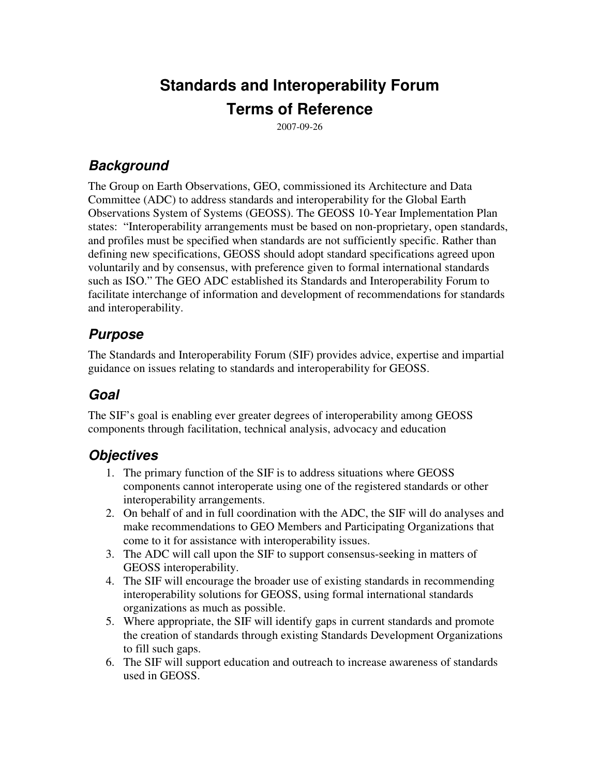# **Standards and Interoperability Forum Terms of Reference**

2007-09-26

### *Background*

The Group on Earth Observations, GEO, commissioned its Architecture and Data Committee (ADC) to address standards and interoperability for the Global Earth Observations System of Systems (GEOSS). The GEOSS 10-Year Implementation Plan states: "Interoperability arrangements must be based on non-proprietary, open standards, and profiles must be specified when standards are not sufficiently specific. Rather than defining new specifications, GEOSS should adopt standard specifications agreed upon voluntarily and by consensus, with preference given to formal international standards such as ISO." The GEO ADC established its Standards and Interoperability Forum to facilitate interchange of information and development of recommendations for standards and interoperability.

#### *Purpose*

The Standards and Interoperability Forum (SIF) provides advice, expertise and impartial guidance on issues relating to standards and interoperability for GEOSS.

### *Goal*

The SIF's goal is enabling ever greater degrees of interoperability among GEOSS components through facilitation, technical analysis, advocacy and education

#### *Objectives*

- 1. The primary function of the SIF is to address situations where GEOSS components cannot interoperate using one of the registered standards or other interoperability arrangements.
- 2. On behalf of and in full coordination with the ADC, the SIF will do analyses and make recommendations to GEO Members and Participating Organizations that come to it for assistance with interoperability issues.
- 3. The ADC will call upon the SIF to support consensus-seeking in matters of GEOSS interoperability.
- 4. The SIF will encourage the broader use of existing standards in recommending interoperability solutions for GEOSS, using formal international standards organizations as much as possible.
- 5. Where appropriate, the SIF will identify gaps in current standards and promote the creation of standards through existing Standards Development Organizations to fill such gaps.
- 6. The SIF will support education and outreach to increase awareness of standards used in GEOSS.